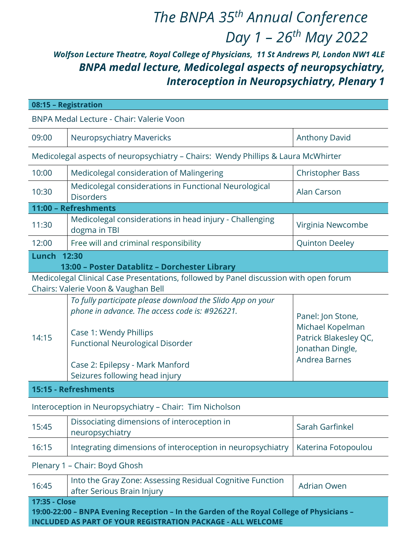## The BNPA 35<sup>th</sup> Annual Conference Day  $1 - 26$ <sup>th</sup> May 2022

## Wolfson Lecture Theatre, Royal College of Physicians, 11 St Andrews Pl, London NW1 4LE BNPA medal lecture, Medicolegal aspects of neuropsychiatry, Interoception in Neuropsychiatry, Plenary 1

|                                                                                                                                                                                  | 08:15 - Registration                                                                                                                                                                                                                            |                                                                                                     |  |  |
|----------------------------------------------------------------------------------------------------------------------------------------------------------------------------------|-------------------------------------------------------------------------------------------------------------------------------------------------------------------------------------------------------------------------------------------------|-----------------------------------------------------------------------------------------------------|--|--|
| BNPA Medal Lecture - Chair: Valerie Voon                                                                                                                                         |                                                                                                                                                                                                                                                 |                                                                                                     |  |  |
| 09:00                                                                                                                                                                            | <b>Neuropsychiatry Mavericks</b>                                                                                                                                                                                                                | <b>Anthony David</b>                                                                                |  |  |
| Medicolegal aspects of neuropsychiatry - Chairs: Wendy Phillips & Laura McWhirter                                                                                                |                                                                                                                                                                                                                                                 |                                                                                                     |  |  |
| 10:00                                                                                                                                                                            | Medicolegal consideration of Malingering                                                                                                                                                                                                        | <b>Christopher Bass</b>                                                                             |  |  |
| 10:30                                                                                                                                                                            | Medicolegal considerations in Functional Neurological<br><b>Disorders</b>                                                                                                                                                                       | <b>Alan Carson</b>                                                                                  |  |  |
|                                                                                                                                                                                  | 11:00 - Refreshments                                                                                                                                                                                                                            |                                                                                                     |  |  |
| 11:30                                                                                                                                                                            | Medicolegal considerations in head injury - Challenging<br>dogma in TBI                                                                                                                                                                         | Virginia Newcombe                                                                                   |  |  |
| 12:00                                                                                                                                                                            | Free will and criminal responsibility                                                                                                                                                                                                           | <b>Quinton Deeley</b>                                                                               |  |  |
| Lunch<br>12:30                                                                                                                                                                   |                                                                                                                                                                                                                                                 |                                                                                                     |  |  |
| 13:00 - Poster Datablitz - Dorchester Library<br>Medicolegal Clinical Case Presentations, followed by Panel discussion with open forum<br>Chairs: Valerie Voon & Vaughan Bell    |                                                                                                                                                                                                                                                 |                                                                                                     |  |  |
| 14:15                                                                                                                                                                            | To fully participate please download the Slido App on your<br>phone in advance. The access code is: #926221.<br>Case 1: Wendy Phillips<br>Functional Neurological Disorder<br>Case 2: Epilepsy - Mark Manford<br>Seizures following head injury | Panel: Jon Stone,<br>Michael Kopelman<br>Patrick Blakesley QC,<br>Jonathan Dingle,<br>Andrea Barnes |  |  |
| 15:15 - Refreshments                                                                                                                                                             |                                                                                                                                                                                                                                                 |                                                                                                     |  |  |
| Interoception in Neuropsychiatry - Chair: Tim Nicholson                                                                                                                          |                                                                                                                                                                                                                                                 |                                                                                                     |  |  |
| 15:45                                                                                                                                                                            | Dissociating dimensions of interoception in<br>neuropsychiatry                                                                                                                                                                                  | Sarah Garfinkel                                                                                     |  |  |
| 16:15                                                                                                                                                                            | Integrating dimensions of interoception in neuropsychiatry                                                                                                                                                                                      | Katerina Fotopoulou                                                                                 |  |  |
| Plenary 1 - Chair: Boyd Ghosh                                                                                                                                                    |                                                                                                                                                                                                                                                 |                                                                                                     |  |  |
| 16:45                                                                                                                                                                            | Into the Gray Zone: Assessing Residual Cognitive Function<br>after Serious Brain Injury                                                                                                                                                         | <b>Adrian Owen</b>                                                                                  |  |  |
| 17:35 - Close<br>19:00-22:00 - BNPA Evening Reception - In the Garden of the Royal College of Physicians -<br><b>INCLUDED AS PART OF YOUR REGISTRATION PACKAGE - ALL WELCOME</b> |                                                                                                                                                                                                                                                 |                                                                                                     |  |  |